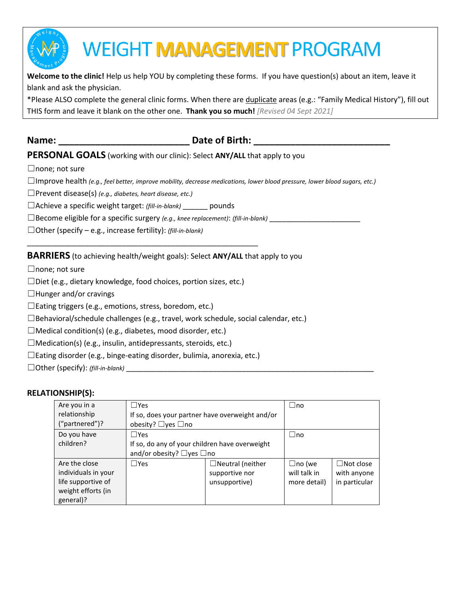

# **WEIGHT MANAGEMENT PROGRAM**

**Welcome to the clinic!** Help us help YOU by completing these forms. If you have question(s) about an item, leave it blank and ask the physician.

\*Please ALSO complete the general clinic forms. When there are duplicate areas (e.g.: "Family Medical History"), fill out THIS form and leave it blank on the other one. **Thank you so much!** *[Revised 04 Sept 2021]*

## **Name: Date of Birth: Name: Date of Birth: Name: Properties**

### **PERSONAL GOALS** (working with our clinic): Select **ANY/ALL** that apply to you

□none; not sure

☐Improve health *(e.g., feel better, improve mobility, decrease medications, lower blood pressure, lower blood sugars, etc.)*

☐Prevent disease(s) *(e.g., diabetes, heart disease, etc.)*

☐Achieve a specific weight target: *(fill-in-blank)* \_\_\_\_\_\_ pounds

□Become eligible for a specific surgery *(e.g., knee replacement)*: *(fill-in-blank)* 

☐Other (specify – e.g., increase fertility): *(fill-in-blank)*

#### **BARRIERS** (to achieving health/weight goals): Select **ANY/ALL** that apply to you

□none; not sure

 $\square$ Diet (e.g., dietary knowledge, food choices, portion sizes, etc.)

\_\_\_\_\_\_\_\_\_\_\_\_\_\_\_\_\_\_\_\_\_\_\_\_\_\_\_\_\_\_\_\_\_\_\_\_\_\_\_\_\_\_\_\_\_\_\_\_\_\_\_\_\_\_\_\_

 $\Box$ Hunger and/or cravings

☐Eating triggers (e.g., emotions, stress, boredom, etc.)

☐Behavioral/schedule challenges (e.g., travel, work schedule, social calendar, etc.)

 $\Box$ Medical condition(s) (e.g., diabetes, mood disorder, etc.)

 $\Box$ Medication(s) (e.g., insulin, antidepressants, steroids, etc.)

☐Eating disorder (e.g., binge-eating disorder, bulimia, anorexia, etc.)

□Other (specify): *(fill-in-blank)* 

#### **RELATIONSHIP(S):**

| Are you in a        | $\Box$ Yes                                      |                         | $\sqcup$ no  |                  |
|---------------------|-------------------------------------------------|-------------------------|--------------|------------------|
| relationship        | If so, does your partner have overweight and/or |                         |              |                  |
| ("partnered")?      | obesity? $\Box$ yes $\Box$ no                   |                         |              |                  |
| Do you have         | $\Box$ Yes                                      |                         | $\Box$ no    |                  |
| children?           | If so, do any of your children have overweight  |                         |              |                  |
|                     | and/or obesity? $\Box$ yes $\Box$ no            |                         |              |                  |
| Are the close       | $\Box$ Yes                                      | $\Box$ Neutral (neither | □no (we      | $\Box$ Not close |
| individuals in your |                                                 | supportive nor          | will talk in | with anyone      |
| life supportive of  |                                                 | unsupportive)           | more detail) | in particular    |
| weight efforts (in  |                                                 |                         |              |                  |
| general)?           |                                                 |                         |              |                  |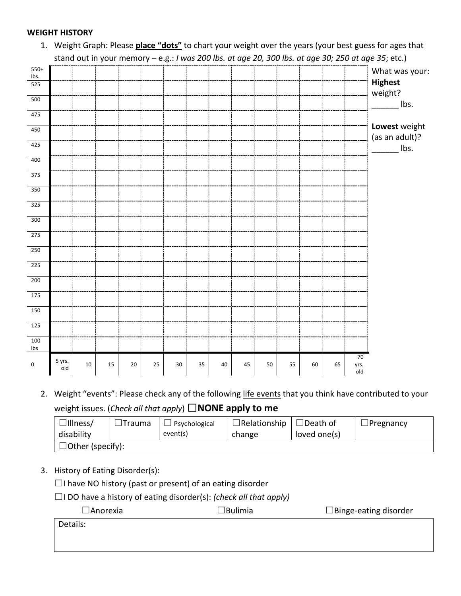#### **WEIGHT HISTORY**

|                  |        |    |    |    |    |        |    |    |    |    |    |    |    |             | stand out in your memory - e.g.: I was 200 lbs. at age 20, 300 lbs. at age 30; 250 at age 35; etc.) |
|------------------|--------|----|----|----|----|--------|----|----|----|----|----|----|----|-------------|-----------------------------------------------------------------------------------------------------|
| $550+$<br>lbs.   |        |    |    |    |    |        |    |    |    |    |    |    |    |             | What was your:                                                                                      |
| 525              |        |    |    |    |    |        |    |    |    |    |    |    |    |             | <b>Highest</b>                                                                                      |
| 500              |        |    |    |    |    |        |    |    |    |    |    |    |    |             | weight?                                                                                             |
| 475              |        |    |    |    |    |        |    |    |    |    |    |    |    |             | Ibs.                                                                                                |
|                  |        |    |    |    |    |        |    |    |    |    |    |    |    |             | Lowest weight                                                                                       |
| 450              |        |    |    |    |    |        |    |    |    |    |    |    |    |             | (as an adult)?                                                                                      |
| 425              |        |    |    |    |    |        |    |    |    |    |    |    |    |             | lbs.                                                                                                |
| 400              |        |    |    |    |    |        |    |    |    |    |    |    |    |             |                                                                                                     |
| $\overline{375}$ |        |    |    |    |    |        |    |    |    |    |    |    |    |             |                                                                                                     |
| 350              |        |    |    |    |    |        |    |    |    |    |    |    |    |             |                                                                                                     |
| 325              |        |    |    |    |    |        |    |    |    |    |    |    |    |             |                                                                                                     |
| $\overline{300}$ |        |    |    |    |    |        |    |    |    |    |    |    |    |             |                                                                                                     |
| 275              |        |    |    |    |    |        |    |    |    |    |    |    |    |             |                                                                                                     |
|                  |        |    |    |    |    |        |    |    |    |    |    |    |    |             |                                                                                                     |
| 250              |        |    |    |    |    |        |    |    |    |    |    |    |    |             |                                                                                                     |
| 225              |        |    |    |    |    |        |    |    |    |    |    |    |    |             |                                                                                                     |
| $\overline{200}$ |        |    |    |    |    |        |    |    |    |    |    |    |    |             |                                                                                                     |
| $\frac{175}{2}$  |        |    |    |    |    |        |    |    |    |    |    |    |    |             |                                                                                                     |
| 150              |        |    |    |    |    |        |    |    |    |    |    |    |    |             |                                                                                                     |
| 125              |        |    |    |    |    |        |    |    |    |    |    |    |    |             |                                                                                                     |
| 100<br>Ibs       |        |    |    |    |    |        |    |    |    |    |    |    |    |             |                                                                                                     |
| 0                | 5 yrs. | 10 | 15 | 20 | 25 | $30\,$ | 35 | 40 | 45 | 50 | 55 | 60 | 65 | 70          |                                                                                                     |
|                  | old    |    |    |    |    |        |    |    |    |    |    |    |    | yrs.<br>old |                                                                                                     |

1. Weight Graph: Please **place "dots"** to chart your weight over the years (your best guess for ages that stand out in your memory – e.g.: *I was 200 lbs. at age 20, 300 lbs. at age 30; 250 at age 35*; etc.)

2. Weight "events": Please check any of the following life events that you think have contributed to your weight issues. (*Check all that apply*) ☐**NONE apply to me**

| $\Box$ Illness/         | <sup>1</sup> Trauma | Psychological | $\Box$ Relationship | $\Box$ Death of | ⊿Pregnancy |
|-------------------------|---------------------|---------------|---------------------|-----------------|------------|
| disability              |                     | event(s)      | change              | loved one(s)    |            |
| $\Box$ Other (specify): |                     |               |                     |                 |            |

3. History of Eating Disorder(s):

☐I have NO history (past or present) of an eating disorder

☐I DO have a history of eating disorder(s): *(check all that apply)*

☐Anorexia ☐Bulimia ☐Binge-eating disorder

Details: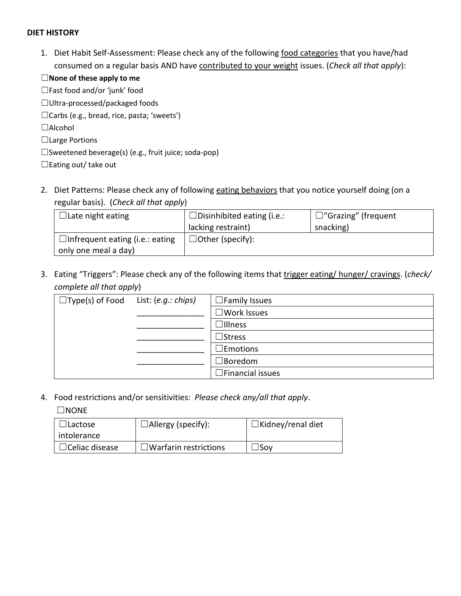#### **DIET HISTORY**

1. Diet Habit Self-Assessment: Please check any of the following food categories that you have/had consumed on a regular basis AND have contributed to your weight issues. (*Check all that apply*):

| $\Box$ None of these apply to me                  |
|---------------------------------------------------|
| $\Box$ Fast food and/or 'junk' food               |
| $\Box$ Ultra-processed/packaged foods             |
| $\Box$ Carbs (e.g., bread, rice, pasta; 'sweets') |

☐Alcohol

- ☐Large Portions
- ☐Sweetened beverage(s) (e.g., fruit juice; soda-pop)

☐Eating out/ take out

2. Diet Patterns: Please check any of following eating behaviors that you notice yourself doing (on a regular basis). (*Check all that apply*)

| $\Box$ Late night eating               | $\Box$ Disinhibited eating (i.e.: | $\Box$ "Grazing" (frequent |
|----------------------------------------|-----------------------------------|----------------------------|
|                                        | lacking restraint)                | snacking)                  |
| $\Box$ Infrequent eating (i.e.: eating | $\Box$ Other (specify):           |                            |
| only one meal a day)                   |                                   |                            |

3. Eating "Triggers": Please check any of the following items that trigger eating/ hunger/ cravings. (*check/ complete all that apply*)

| $\Box$ Type(s) of Food | List: (e.g.: chips) | $\Box$ Family Issues    |
|------------------------|---------------------|-------------------------|
|                        |                     | $\exists$ Work Issues   |
|                        |                     | $\Box$ Illness          |
|                        |                     | $\supset$ Stress        |
|                        |                     | $\Box$ Emotions         |
|                        |                     | $\sqsupset$ Boredom     |
|                        |                     | $\Box$ Financial issues |

4. Food restrictions and/or sensitivities: *Please check any/all that apply*.

☐NONE

| lLactose.<br>intolerance | $\Box$ Allergy (specify):    | $\Box$ Kidney/renal diet |
|--------------------------|------------------------------|--------------------------|
| $\Box$ Celiac disease    | $\Box$ Warfarin restrictions | Sov                      |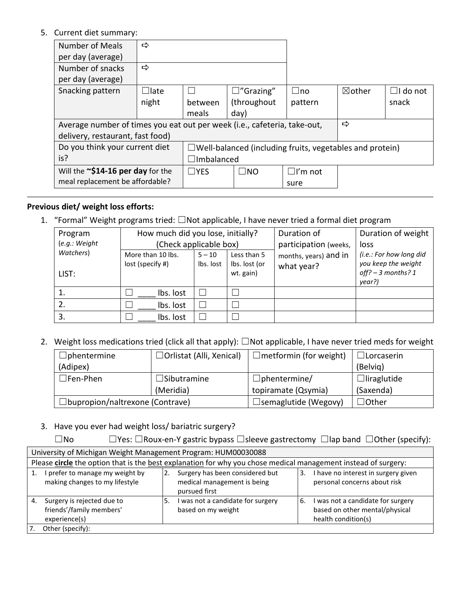5. Current diet summary:

| Number of Meals                                                          | ⇨                 |               |                                                                 |                |                   |                 |
|--------------------------------------------------------------------------|-------------------|---------------|-----------------------------------------------------------------|----------------|-------------------|-----------------|
| per day (average)                                                        |                   |               |                                                                 |                |                   |                 |
| Number of snacks                                                         | ⇨                 |               |                                                                 |                |                   |                 |
| per day (average)                                                        |                   |               |                                                                 |                |                   |                 |
| Snacking pattern                                                         | $\Box$ late       |               | $\square$ "Grazing"                                             | $\Box$ no      | $\boxtimes$ other | $\Box$ I do not |
|                                                                          | night             | between       | (throughout                                                     | pattern        |                   | snack           |
|                                                                          |                   | meals         | day)                                                            |                |                   |                 |
| Average number of times you eat out per week (i.e., cafeteria, take-out, |                   |               |                                                                 |                | ⇨                 |                 |
| delivery, restaurant, fast food)                                         |                   |               |                                                                 |                |                   |                 |
| Do you think your current diet                                           |                   |               | $\Box$ Well-balanced (including fruits, vegetables and protein) |                |                   |                 |
| is?                                                                      | $\Box$ Imbalanced |               |                                                                 |                |                   |                 |
| Will the $\sim$ \$14-16 per day for the                                  |                   | $\square$ YES | $\square$ NO                                                    | $\Box$ I'm not |                   |                 |
| meal replacement be affordable?                                          |                   |               |                                                                 | sure           |                   |                 |

#### **Previous diet/ weight loss efforts:**

1. "Formal" Weight programs tried: □Not applicable, I have never tried a formal diet program

| Program       | How much did you lose, initially? |           |                            | Duration of           | Duration of weight                          |
|---------------|-----------------------------------|-----------|----------------------------|-----------------------|---------------------------------------------|
| (e.g.: Weight | (Check applicable box)            |           |                            | participation (weeks, | loss                                        |
| Watchers)     | More than 10 lbs.                 | $5 - 10$  | Less than 5                | months, years) and in | (i.e.: For how long did                     |
| LIST:         | lost (specify #)                  | Ibs. lost | Ibs. lost (or<br>wt. gain) | what year?            | you keep the weight<br>off? $-$ 3 months? 1 |
|               |                                   |           |                            |                       | year?)                                      |
| 1.            | Ibs. lost                         |           |                            |                       |                                             |
| 2.            | Ibs. lost                         |           |                            |                       |                                             |
| 3.            | Ibs. lost                         |           |                            |                       |                                             |

2. Weight loss medications tried (click all that apply): ☐Not applicable, I have never tried meds for weight

| $\Box$ phentermine                     | $\Box$ Orlistat (Alli, Xenical) | $\Box$ metformin (for weight) | $\Box$ Lorcaserin  |
|----------------------------------------|---------------------------------|-------------------------------|--------------------|
| (Adipex)                               |                                 |                               | (Belvig)           |
| $\sqsupset$ Fen-Phen                   | $\Box$ Sibutramine              | $\Box$ phentermine/           | $\Box$ liraglutide |
|                                        | (Meridia)                       | topiramate (Qsymia)           | (Saxenda)          |
| $\Box$ bupropion/naltrexone (Contrave) |                                 | $\Box$ semaglutide (Wegovy)   | $\exists$ Other    |

3. Have you ever had weight loss/ bariatric surgery?

☐No ☐Yes: ☐Roux-en-Y gastric bypass ☐sleeve gastrectomy ☐lap band ☐Other (specify):

| University of Michigan Weight Management Program: HUM00030088                 |                                                                                                                |                                                                                                  |  |  |  |  |
|-------------------------------------------------------------------------------|----------------------------------------------------------------------------------------------------------------|--------------------------------------------------------------------------------------------------|--|--|--|--|
|                                                                               | Please circle the option that is the best explanation for why you chose medical management instead of surgery: |                                                                                                  |  |  |  |  |
| I prefer to manage my weight by<br>making changes to my lifestyle             | Surgery has been considered but<br>medical management is being<br>pursued first                                | I have no interest in surgery given<br>3.<br>personal concerns about risk                        |  |  |  |  |
| Surgery is rejected due to<br>4.<br>friends'/family members'<br>experience(s) | I was not a candidate for surgery<br>5.<br>based on my weight                                                  | I was not a candidate for surgery<br>6.<br>based on other mental/physical<br>health condition(s) |  |  |  |  |
| Other (specify):                                                              |                                                                                                                |                                                                                                  |  |  |  |  |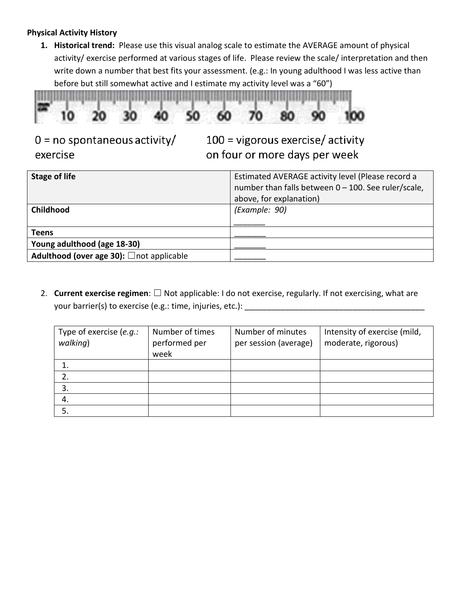#### **Physical Activity History**

**1. Historical trend:** Please use this visual analog scale to estimate the AVERAGE amount of physical activity/ exercise performed at various stages of life. Please review the scale/ interpretation and then write down a number that best fits your assessment. (e.g.: In young adulthood I was less active than before but still somewhat active and I estimate my activity level was a "60")



# $0 = no$  spontaneous activity/ exercise

 $100 =$  vigorous exercise/activity on four or more days per week

| <b>Stage of life</b>                     | Estimated AVERAGE activity level (Please record a<br>number than falls between 0 - 100. See ruler/scale,<br>above, for explanation) |
|------------------------------------------|-------------------------------------------------------------------------------------------------------------------------------------|
| Childhood                                | (Example: 90)                                                                                                                       |
| Teens                                    |                                                                                                                                     |
| Young adulthood (age 18-30)              |                                                                                                                                     |
| Adulthood (over age 30): □not applicable |                                                                                                                                     |

2. **Current exercise regimen**: ☐ Not applicable: I do not exercise, regularly. If not exercising, what are your barrier(s) to exercise (e.g.: time, injuries, etc.): \_\_\_\_\_\_\_\_\_\_\_\_\_\_\_\_\_\_\_\_\_\_

| Type of exercise (e.g.:<br>walking) | Number of times<br>performed per<br>week | Number of minutes<br>per session (average) | Intensity of exercise (mild,<br>moderate, rigorous) |
|-------------------------------------|------------------------------------------|--------------------------------------------|-----------------------------------------------------|
|                                     |                                          |                                            |                                                     |
|                                     |                                          |                                            |                                                     |
| 3.                                  |                                          |                                            |                                                     |
| 4.                                  |                                          |                                            |                                                     |
|                                     |                                          |                                            |                                                     |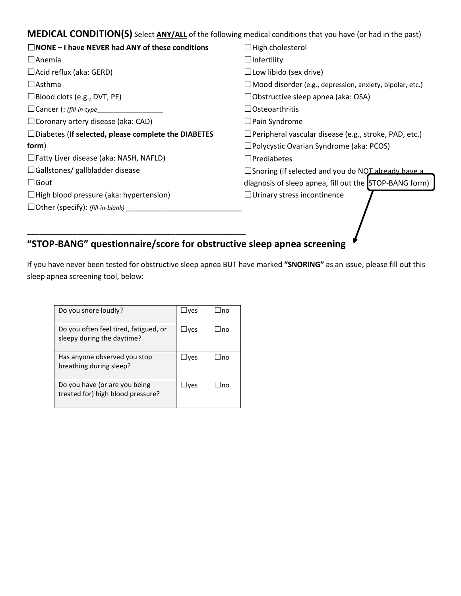**MEDICAL CONDITION(S)** Select **ANY/ALL** of the following medical conditions that you have (or had in the past)

| $\Box$ NONE – I have NEVER had ANY of these conditions     | $\Box$ High cholesterol                                         |  |  |
|------------------------------------------------------------|-----------------------------------------------------------------|--|--|
| $\Box$ Anemia                                              | $\Box$ Infertility                                              |  |  |
| $\Box$ Acid reflux (aka: GERD)                             | $\Box$ Low libido (sex drive)                                   |  |  |
| $\Box$ Asthma                                              | $\Box$ Mood disorder (e.g., depression, anxiety, bipolar, etc.) |  |  |
| □Blood clots (e.g., DVT, PE)                               | $\Box$ Obstructive sleep apnea (aka: OSA)                       |  |  |
| □ Cancer (: (fill-in-type_                                 | $\Box$ Osteoarthritis                                           |  |  |
| $\Box$ Coronary artery disease (aka: CAD)                  | $\Box$ Pain Syndrome                                            |  |  |
| $\Box$ Diabetes (If selected, please complete the DIABETES | $\Box$ Peripheral vascular disease (e.g., stroke, PAD, etc.)    |  |  |
| form)                                                      | $\square$ Polycystic Ovarian Syndrome (aka: PCOS)               |  |  |
| $\Box$ Fatty Liver disease (aka: NASH, NAFLD)              | $\Box$ Prediabetes                                              |  |  |
| $\Box$ Gallstones/ gallbladder disease                     | $\Box$ Snoring (if selected and you do NOT already have a       |  |  |
| $\Box$ Gout                                                | diagnosis of sleep apnea, fill out the STOP-BANG form)          |  |  |
| $\Box$ High blood pressure (aka: hypertension)             | $\Box$ Urinary stress incontinence                              |  |  |
| $\Box$ Other (specify): (fill-in-blank)                    |                                                                 |  |  |
|                                                            |                                                                 |  |  |

# **"STOP-BANG" questionnaire/score for obstructive sleep apnea screening**

If you have never been tested for obstructive sleep apnea BUT have marked **"SNORING"** as an issue, please fill out this sleep apnea screening tool, below:

| Do you snore loudly?                                                | $\exists$ ves | lno |
|---------------------------------------------------------------------|---------------|-----|
| Do you often feel tired, fatigued, or<br>sleepy during the daytime? | Jves          | lno |
| Has anyone observed you stop<br>breathing during sleep?             | ⊥ves          | lno |
| Do you have (or are you being<br>treated for) high blood pressure?  | ⊥ves          | lno |

**\_\_\_\_\_\_\_\_\_\_\_\_\_\_\_\_\_\_\_\_\_\_\_\_\_\_\_\_\_\_\_\_\_\_\_\_\_\_\_\_\_\_\_\_\_\_\_\_\_\_\_\_\_**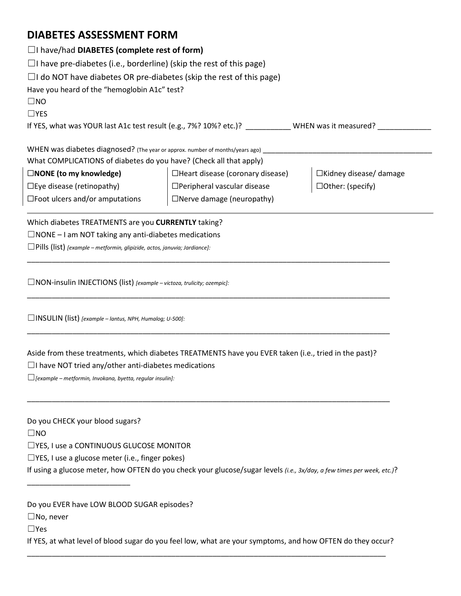# **DIABETES ASSESSMENT FORM**

| $\Box$ I have/had DIABETES (complete rest of form)                            |                                    |                               |  |  |
|-------------------------------------------------------------------------------|------------------------------------|-------------------------------|--|--|
| $\Box$ I have pre-diabetes (i.e., borderline) (skip the rest of this page)    |                                    |                               |  |  |
| $\Box$ I do NOT have diabetes OR pre-diabetes (skip the rest of this page)    |                                    |                               |  |  |
| Have you heard of the "hemoglobin A1c" test?                                  |                                    |                               |  |  |
| $\square$ NO                                                                  |                                    |                               |  |  |
| $\Box$ YES                                                                    |                                    |                               |  |  |
| If YES, what was YOUR last A1c test result (e.g., 7%? 10%? etc.)?             |                                    | WHEN was it measured?         |  |  |
| WHEN was diabetes diagnosed? (The year or approx. number of months/years ago) |                                    |                               |  |  |
| What COMPLICATIONS of diabetes do you have? (Check all that apply)            |                                    |                               |  |  |
| $\square$ NONE (to my knowledge)                                              | □Heart disease (coronary disease)  | $\Box$ Kidney disease/ damage |  |  |
| $\Box$ Eye disease (retinopathy)                                              | $\Box$ Peripheral vascular disease | $\Box$ Other: (specify)       |  |  |
| $\square$ Foot ulcers and/or amputations                                      | $\Box$ Nerve damage (neuropathy)   |                               |  |  |
|                                                                               |                                    |                               |  |  |

Which diabetes TREATMENTS are you **CURRENTLY** taking?

 $\square$ NONE – I am NOT taking any anti-diabetes medications

☐Pills (list) *[example – metformin, glipizide, actos, januvia; Jardiance]:* 

☐NON-insulin INJECTIONS (list) *[example – victoza, trulicity; ozempic]:* 

☐INSULIN (list) *[example – lantus, NPH, Humalog; U-500]:* 

Aside from these treatments, which diabetes TREATMENTS have you EVER taken (i.e., tried in the past)?

\_\_\_\_\_\_\_\_\_\_\_\_\_\_\_\_\_\_\_\_\_\_\_\_\_\_\_\_\_\_\_\_\_\_\_\_\_\_\_\_\_\_\_\_\_\_\_\_\_\_\_\_\_\_\_\_\_\_\_\_\_\_\_\_\_\_\_\_\_\_\_\_\_\_\_\_\_\_\_\_\_\_\_\_\_\_\_\_

\_\_\_\_\_\_\_\_\_\_\_\_\_\_\_\_\_\_\_\_\_\_\_\_\_\_\_\_\_\_\_\_\_\_\_\_\_\_\_\_\_\_\_\_\_\_\_\_\_\_\_\_\_\_\_\_\_\_\_\_\_\_\_\_\_\_\_\_\_\_\_\_\_\_\_\_\_\_\_\_\_\_\_\_\_\_\_\_

\_\_\_\_\_\_\_\_\_\_\_\_\_\_\_\_\_\_\_\_\_\_\_\_\_\_\_\_\_\_\_\_\_\_\_\_\_\_\_\_\_\_\_\_\_\_\_\_\_\_\_\_\_\_\_\_\_\_\_\_\_\_\_\_\_\_\_\_\_\_\_\_\_\_\_\_\_\_\_\_\_\_\_\_\_\_\_\_

\_\_\_\_\_\_\_\_\_\_\_\_\_\_\_\_\_\_\_\_\_\_\_\_\_\_\_\_\_\_\_\_\_\_\_\_\_\_\_\_\_\_\_\_\_\_\_\_\_\_\_\_\_\_\_\_\_\_\_\_\_\_\_\_\_\_\_\_\_\_\_\_\_\_\_\_\_\_\_\_\_\_\_\_\_\_\_\_

 $\Box$ I have NOT tried any/other anti-diabetes medications

☐*[example – metformin, Invokana, byetta, regular insulin]:* 

Do you CHECK your blood sugars?

\_\_\_\_\_\_\_\_\_\_\_\_\_\_\_\_\_\_\_\_\_\_\_\_\_

☐NO

☐YES, I use a CONTINUOUS GLUCOSE MONITOR

☐YES, I use a glucose meter (i.e., finger pokes)

If using a glucose meter, how OFTEN do you check your glucose/sugar levels *(i.e., 3x/day, a few times per week, etc.)*?

Do you EVER have LOW BLOOD SUGAR episodes?

☐No, never

☐Yes

If YES, at what level of blood sugar do you feel low, what are your symptoms, and how OFTEN do they occur? \_\_\_\_\_\_\_\_\_\_\_\_\_\_\_\_\_\_\_\_\_\_\_\_\_\_\_\_\_\_\_\_\_\_\_\_\_\_\_\_\_\_\_\_\_\_\_\_\_\_\_\_\_\_\_\_\_\_\_\_\_\_\_\_\_\_\_\_\_\_\_\_\_\_\_\_\_\_\_\_\_\_\_\_\_\_\_